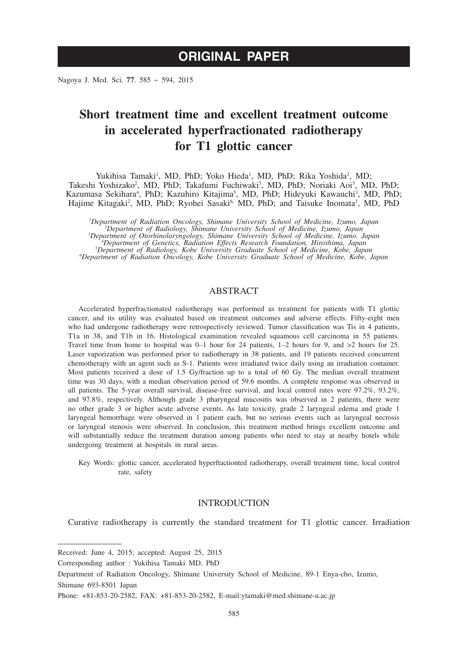Nagoya J. Med. Sci. **77**. 585 ~ 594, 2015

# **Short treatment time and excellent treatment outcome in accelerated hyperfractionated radiotherapy for T1 glottic cancer**

Yukihisa Tamaki<sup>1</sup>, MD, PhD; Yoko Hieda<sup>1</sup>, MD, PhD; Rika Yoshida<sup>2</sup>, MD; Takeshi Yoshizako<sup>2</sup>, MD, PhD; Takafumi Fuchiwaki<sup>3</sup>, MD, PhD; Noriaki Aoi<sup>3</sup>, MD, PhD; Kazumasa Sekihara<sup>4</sup>, PhD; Kazuhiro Kitajima<sup>5</sup>, MD, PhD; Hideyuki Kawauchi<sup>3</sup>, MD, PhD; Hajime Kitagaki<sup>2</sup>, MD, PhD; Ryohei Sasaki<sup>6,</sup> MD, PhD; and Taisuke Inomata<sup>1</sup>, MD, PhD

*1 Department of Radiation Oncology, Shimane University School of Medicine, Izumo, Japan <sup>2</sup> Department of Radiology, Shimane University School of Medicine, Izumo, Japan <sup>3</sup>* <sup>3</sup>Department of Otorhinolaryngology, Shimane University School of Medicine, Izumo, Japan<br><sup>4</sup>Department of Genetics, Radiation Effects Research Foundation, Hiroshima, Japan<sup>5</sup><br><sup>5</sup>Department of Radiology, Kobe University Gr *Department of Radiation Oncology, Kobe University Graduate School of Medicine, Kobe, Japan*

# ABSTRACT

Accelerated hyperfractionated radiotherapy was performed as treatment for patients with T1 glottic cancer, and its utility was evaluated based on treatment outcomes and adverse effects. Fifty-eight men who had undergone radiotherapy were retrospectively reviewed. Tumor classification was Tis in 4 patients, T1a in 38, and T1b in 16. Histological examination revealed squamous cell carcinoma in 55 patients. Travel time from home to hospital was  $0-1$  hour for 24 patients,  $1-2$  hours for 9, and  $>2$  hours for 25. Laser vaporization was performed prior to radiotherapy in 38 patients, and 19 patients received concurrent chemotherapy with an agent such as S-1. Patients were irradiated twice daily using an irradiation container. Most patients received a dose of 1.5 Gy/fraction up to a total of 60 Gy. The median overall treatment time was 30 days, with a median observation period of 59.6 months. A complete response was observed in all patients. The 5-year overall survival, disease-free survival, and local control rates were 97.2%, 93.2%, and 97.8%, respectively. Although grade 3 pharyngeal mucositis was observed in 2 patients, there were no other grade 3 or higher acute adverse events. As late toxicity, grade 2 laryngeal edema and grade 1 laryngeal hemorrhage were observed in 1 patient each, but no serious events such as laryngeal necrosis or laryngeal stenosis were observed. In conclusion, this treatment method brings excellent outcome and will substantially reduce the treatment duration among patients who need to stay at nearby hotels while undergoing treatment at hospitals in rural areas.

Key Words: glottic cancer, accelerated hyperftactionted radiotherapy, overall treatment time, local control rate, safety

## INTRODUCTION

Curative radiotherapy is currently the standard treatment for T1 glottic cancer. Irradiation

Received: June 4, 2015; accepted: August 25, 2015

Corresponding author : Yukihisa Tamaki MD, PhD

Department of Radiation Oncology, Shimane University School of Medicine, 89-1 Enya-cho, Izumo, Shimane 693-8501 Japan

Phone: +81-853-20-2582, FAX: +81-853-20-2582, E-mail:ytamaki@med.shimane-u.ac.jp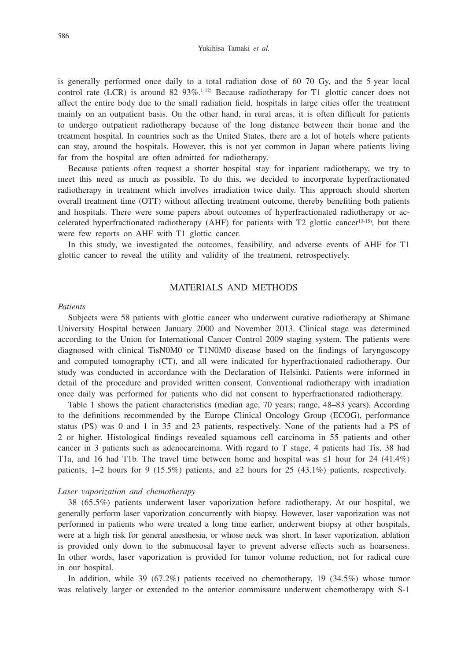Yukihisa Tamaki *et al.*

is generally performed once daily to a total radiation dose of 60–70 Gy, and the 5-year local control rate (LCR) is around  $82-93\%$ .<sup>1-12)</sup> Because radiotherapy for T1 glottic cancer does not affect the entire body due to the small radiation field, hospitals in large cities offer the treatment mainly on an outpatient basis. On the other hand, in rural areas, it is often difficult for patients to undergo outpatient radiotherapy because of the long distance between their home and the treatment hospital. In countries such as the United States, there are a lot of hotels where patients can stay, around the hospitals. However, this is not yet common in Japan where patients living far from the hospital are often admitted for radiotherapy.

Because patients often request a shorter hospital stay for inpatient radiotherapy, we try to meet this need as much as possible. To do this, we decided to incorporate hyperfractionated radiotherapy in treatment which involves irradiation twice daily. This approach should shorten overall treatment time (OTT) without affecting treatment outcome, thereby benefiting both patients and hospitals. There were some papers about outcomes of hyperfractionated radiotherapy or accelerated hyperfractionated radiotherapy (AHF) for patients with T2 glottic cancer<sup>13-15)</sup>, but there were few reports on AHF with T1 glottic cancer.

In this study, we investigated the outcomes, feasibility, and adverse events of AHF for T1 glottic cancer to reveal the utility and validity of the treatment, retrospectively.

# MATERIALS AND METHODS

#### *Patients*

Subjects were 58 patients with glottic cancer who underwent curative radiotherapy at Shimane University Hospital between January 2000 and November 2013. Clinical stage was determined according to the Union for International Cancer Control 2009 staging system. The patients were diagnosed with clinical TisN0M0 or T1N0M0 disease based on the findings of laryngoscopy and computed tomography (CT), and all were indicated for hyperfractionated radiotherapy. Our study was conducted in accordance with the Declaration of Helsinki. Patients were informed in detail of the procedure and provided written consent. Conventional radiotherapy with irradiation once daily was performed for patients who did not consent to hyperfractionated radiotherapy.

Table 1 shows the patient characteristics (median age, 70 years; range, 48–83 years). According to the definitions recommended by the Europe Clinical Oncology Group (ECOG), performance status (PS) was 0 and 1 in 35 and 23 patients, respectively. None of the patients had a PS of 2 or higher. Histological findings revealed squamous cell carcinoma in 55 patients and other cancer in 3 patients such as adenocarcinoma. With regard to T stage, 4 patients had Tis, 38 had T1a, and 16 had T1b. The travel time between home and hospital was  $\leq 1$  hour for 24 (41.4%) patients, 1–2 hours for 9 (15.5%) patients, and  $\geq$  hours for 25 (43.1%) patients, respectively.

#### *Laser vaporization and chemotherapy*

38 (65.5%) patients underwent laser vaporization before radiotherapy. At our hospital, we generally perform laser vaporization concurrently with biopsy. However, laser vaporization was not performed in patients who were treated a long time earlier, underwent biopsy at other hospitals, were at a high risk for general anesthesia, or whose neck was short. In laser vaporization, ablation is provided only down to the submucosal layer to prevent adverse effects such as hoarseness. In other words, laser vaporization is provided for tumor volume reduction, not for radical cure in our hospital.

In addition, while 39 (67.2%) patients received no chemotherapy, 19 (34.5%) whose tumor was relatively larger or extended to the anterior commissure underwent chemotherapy with S-1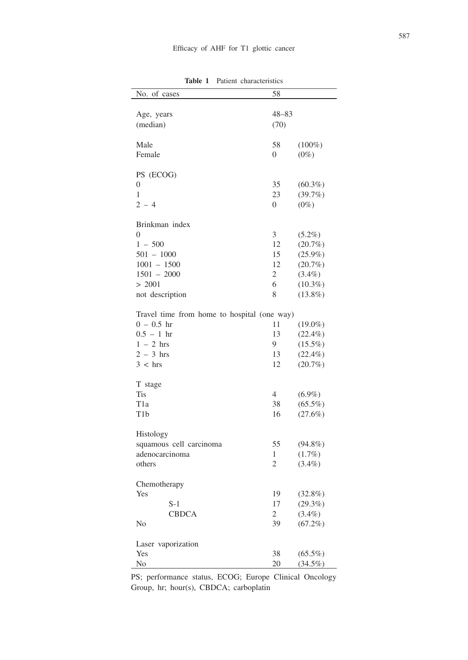| No. of cases                                | 58             |            |
|---------------------------------------------|----------------|------------|
|                                             |                |            |
| Age, years                                  | $48 - 83$      |            |
| (median)                                    | (70)           |            |
|                                             |                |            |
| Male                                        | 58             | $(100\%)$  |
| Female                                      | 0              | $(0\%)$    |
|                                             |                |            |
|                                             |                |            |
| PS (ECOG)                                   |                |            |
| 0                                           | 35             | $(60.3\%)$ |
| 1                                           | 23             | (39.7%)    |
| $2 - 4$                                     | $\overline{0}$ | $(0\%)$    |
|                                             |                |            |
| Brinkman index                              |                |            |
| $\Omega$                                    | 3              | $(5.2\%)$  |
| $1 - 500$                                   | 12             | $(20.7\%)$ |
| $501 - 1000$                                | 15             | $(25.9\%)$ |
| $1001 - 1500$                               | 12             | $(20.7\%)$ |
| $1501 - 2000$                               | $\overline{2}$ | $(3.4\%)$  |
| > 2001                                      | 6              | $(10.3\%)$ |
|                                             |                |            |
| not description                             | 8              | $(13.8\%)$ |
|                                             |                |            |
| Travel time from home to hospital (one way) |                |            |
| $0 - 0.5$ hr                                | 11             | $(19.0\%)$ |
| $0.5 - 1 hr$                                | 13             | $(22.4\%)$ |
| $1 - 2$ hrs                                 | 9.             | $(15.5\%)$ |
| $2 - 3$ hrs                                 | 13             | $(22.4\%)$ |
| 3 < hrs                                     | 12             | $(20.7\%)$ |
|                                             |                |            |
| T stage                                     |                |            |
| Tis                                         | $\overline{4}$ | $(6.9\%)$  |
| T1a                                         | 38             | $(65.5\%)$ |
| T <sub>1</sub> b                            |                |            |
|                                             | 16             | $(27.6\%)$ |
|                                             |                |            |
| Histology                                   |                |            |
| squamous cell carcinoma                     | 55             | $(94.8\%)$ |
| adenocarcinoma                              | 1              | $(1.7\%)$  |
| others                                      | $\overline{2}$ | $(3.4\%)$  |
|                                             |                |            |
| Chemotherapy                                |                |            |
| Yes                                         | 19             | $(32.8\%)$ |
| $S-1$                                       | 17             | (29.3%)    |
| <b>CBDCA</b>                                | $\overline{2}$ | $(3.4\%)$  |
| No                                          | 39             | $(67.2\%)$ |
|                                             |                |            |
|                                             |                |            |
| Laser vaporization                          |                |            |
| Yes                                         | 38             | $(65.5\%)$ |
| No                                          | 20             | (34.5%)    |

**Table 1** Patient characteristics

PS; performance status, ECOG; Europe Clinical Oncology Group, hr; hour(s), CBDCA; carboplatin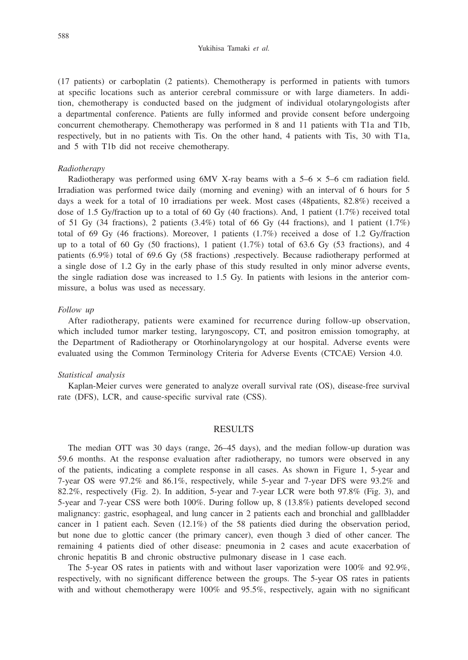Yukihisa Tamaki *et al.*

(17 patients) or carboplatin (2 patients). Chemotherapy is performed in patients with tumors at specific locations such as anterior cerebral commissure or with large diameters. In addition, chemotherapy is conducted based on the judgment of individual otolaryngologists after a departmental conference. Patients are fully informed and provide consent before undergoing concurrent chemotherapy. Chemotherapy was performed in 8 and 11 patients with T1a and T1b, respectively, but in no patients with Tis. On the other hand, 4 patients with Tis, 30 with T1a, and 5 with T1b did not receive chemotherapy.

#### *Radiotherapy*

Radiotherapy was performed using  $6MV$  X-ray beams with a  $5-6 \times 5-6$  cm radiation field. Irradiation was performed twice daily (morning and evening) with an interval of 6 hours for 5 days a week for a total of 10 irradiations per week. Most cases (48patients, 82.8%) received a dose of 1.5 Gy/fraction up to a total of 60 Gy (40 fractions). And, 1 patient (1.7%) received total of 51 Gy (34 fractions), 2 patients (3.4%) total of 66 Gy (44 fractions), and 1 patient (1.7%) total of 69 Gy (46 fractions). Moreover, 1 patients (1.7%) received a dose of 1.2 Gy/fraction up to a total of 60 Gy (50 fractions), 1 patient  $(1.7%)$  total of 63.6 Gy (53 fractions), and 4 patients (6.9%) total of 69.6 Gy (58 fractions) ,respectively. Because radiotherapy performed at a single dose of 1.2 Gy in the early phase of this study resulted in only minor adverse events, the single radiation dose was increased to 1.5 Gy. In patients with lesions in the anterior commissure, a bolus was used as necessary.

#### *Follow up*

After radiotherapy, patients were examined for recurrence during follow-up observation, which included tumor marker testing, laryngoscopy, CT, and positron emission tomography, at the Department of Radiotherapy or Otorhinolaryngology at our hospital. Adverse events were evaluated using the Common Terminology Criteria for Adverse Events (CTCAE) Version 4.0.

### *Statistical analysis*

Kaplan-Meier curves were generated to analyze overall survival rate (OS), disease-free survival rate (DFS), LCR, and cause-specific survival rate (CSS).

## RESULTS

The median OTT was 30 days (range, 26–45 days), and the median follow-up duration was 59.6 months. At the response evaluation after radiotherapy, no tumors were observed in any of the patients, indicating a complete response in all cases. As shown in Figure 1, 5-year and 7-year OS were 97.2% and 86.1%, respectively, while 5-year and 7-year DFS were 93.2% and 82.2%, respectively (Fig. 2). In addition, 5-year and 7-year LCR were both 97.8% (Fig. 3), and 5-year and 7-year CSS were both 100%. During follow up, 8 (13.8%) patients developed second malignancy: gastric, esophageal, and lung cancer in 2 patients each and bronchial and gallbladder cancer in 1 patient each. Seven (12.1%) of the 58 patients died during the observation period, but none due to glottic cancer (the primary cancer), even though 3 died of other cancer. The remaining 4 patients died of other disease: pneumonia in 2 cases and acute exacerbation of chronic hepatitis B and chronic obstructive pulmonary disease in 1 case each.

The 5-year OS rates in patients with and without laser vaporization were 100% and 92.9%, respectively, with no significant difference between the groups. The 5-year OS rates in patients with and without chemotherapy were 100% and 95.5%, respectively, again with no significant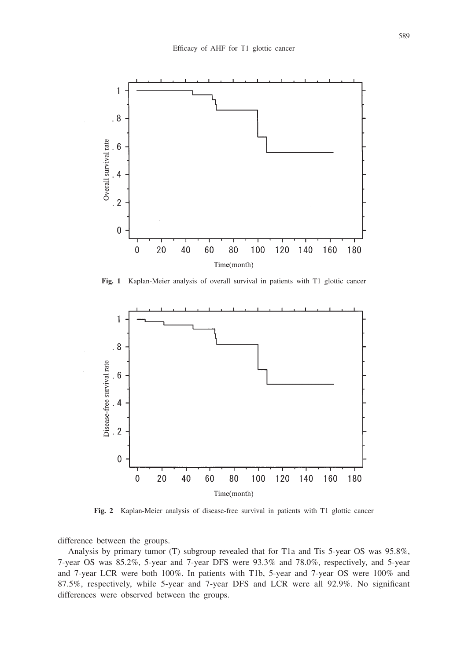

**Fig. 1** Kaplan-Meier analysis of overall survival in patients with T1 glottic cancer



**Fig. 2** Kaplan-Meier analysis of disease-free survival in patients with T1 glottic cancer

difference between the groups.

Analysis by primary tumor (T) subgroup revealed that for T1a and Tis 5-year OS was 95.8%, 7-year OS was 85.2%, 5-year and 7-year DFS were 93.3% and 78.0%, respectively, and 5-year and 7-year LCR were both 100%. In patients with T1b, 5-year and 7-year OS were 100% and 87.5%, respectively, while 5-year and 7-year DFS and LCR were all 92.9%. No significant differences were observed between the groups.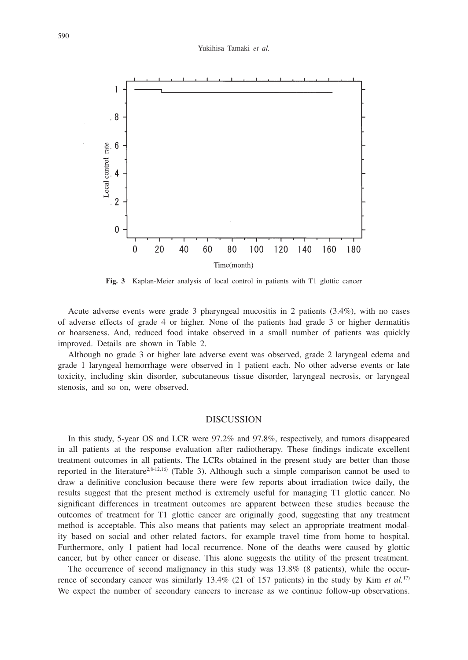

**Fig. 3** Kaplan-Meier analysis of local control in patients with T1 glottic cancer

Acute adverse events were grade 3 pharyngeal mucositis in 2 patients (3.4%), with no cases of adverse effects of grade 4 or higher. None of the patients had grade 3 or higher dermatitis or hoarseness. And, reduced food intake observed in a small number of patients was quickly improved. Details are shown in Table 2.

Although no grade 3 or higher late adverse event was observed, grade 2 laryngeal edema and grade 1 laryngeal hemorrhage were observed in 1 patient each. No other adverse events or late toxicity, including skin disorder, subcutaneous tissue disorder, laryngeal necrosis, or laryngeal stenosis, and so on, were observed.

## **DISCUSSION**

In this study, 5-year OS and LCR were 97.2% and 97.8%, respectively, and tumors disappeared in all patients at the response evaluation after radiotherapy. These findings indicate excellent treatment outcomes in all patients. The LCRs obtained in the present study are better than those reported in the literature<sup>2,8-12,16)</sup> (Table 3). Although such a simple comparison cannot be used to draw a definitive conclusion because there were few reports about irradiation twice daily, the results suggest that the present method is extremely useful for managing T1 glottic cancer. No significant differences in treatment outcomes are apparent between these studies because the outcomes of treatment for T1 glottic cancer are originally good, suggesting that any treatment method is acceptable. This also means that patients may select an appropriate treatment modality based on social and other related factors, for example travel time from home to hospital. Furthermore, only 1 patient had local recurrence. None of the deaths were caused by glottic cancer, but by other cancer or disease. This alone suggests the utility of the present treatment.

The occurrence of second malignancy in this study was 13.8% (8 patients), while the occurrence of secondary cancer was similarly 13.4% (21 of 157 patients) in the study by Kim *et al.*17) We expect the number of secondary cancers to increase as we continue follow-up observations.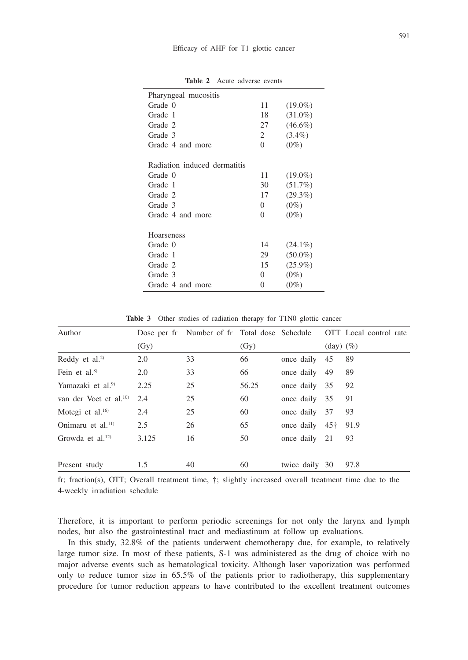| Pharyngeal mucositis         |          |            |  |  |
|------------------------------|----------|------------|--|--|
| Grade 0                      | 11       | $(19.0\%)$ |  |  |
| Grade 1                      | 18       | $(31.0\%)$ |  |  |
| Grade 2                      | 27       | $(46.6\%)$ |  |  |
| Grade 3                      | 2        | $(3.4\%)$  |  |  |
| Grade 4 and more             | $\Omega$ | $(0\%)$    |  |  |
| Radiation induced dermatitis |          |            |  |  |
| Grade 0                      | 11       | $(19.0\%)$ |  |  |
| Grade 1                      | 30       | $(51.7\%)$ |  |  |
| Grade 2                      | 17       | $(29.3\%)$ |  |  |
| Grade 3                      | $\Omega$ | $(0\%)$    |  |  |
| Grade 4 and more             | $\Omega$ | $(0\%)$    |  |  |
| <b>Hoarseness</b>            |          |            |  |  |
| Grade 0                      | 14       | $(24.1\%)$ |  |  |
| Grade 1                      | 29       | $(50.0\%)$ |  |  |
| Grade 2                      | 15       | $(25.9\%)$ |  |  |
| Grade 3                      | 0        | $(0\%)$    |  |  |
| Grade 4 and more             | 0        | $(0\%)$    |  |  |
|                              |          |            |  |  |

**Table 2** Acute adverse events

Table 3 Other studies of radiation therapy for T1N0 glottic cancer

| Author                            |       |    |       |                  |                                           | Dose per fr Number of fr Total dose Schedule OTT Local control rate |
|-----------------------------------|-------|----|-------|------------------|-------------------------------------------|---------------------------------------------------------------------|
|                                   | (Gy)  |    | (Gy)  |                  | $\left(\text{day}\right)\left(\% \right)$ |                                                                     |
| Reddy et al. <sup>2)</sup>        | 2.0   | 33 | 66    | once daily       | - 45                                      | 89                                                                  |
| Fein et al. $8$                   | 2.0   | 33 | 66    | once daily 49    |                                           | 89                                                                  |
| Yamazaki et al. <sup>9)</sup>     | 2.25  | 25 | 56.25 | once daily 35    |                                           | 92                                                                  |
| van der Voet et al. <sup>10</sup> | 2.4   | 25 | 60    | once daily 35    |                                           | 91                                                                  |
| Motegi et al. $16$                | 2.4   | 25 | 60    | once daily 37    |                                           | 93                                                                  |
| Onimaru et al. <sup>11)</sup>     | 2.5   | 26 | 65    | once daily $45+$ |                                           | 91.9                                                                |
| Growda et al. $^{12)}$            | 3.125 | 16 | 50    | once daily 21    |                                           | 93                                                                  |
| Present study                     | 1.5   | 40 | 60    | twice daily 30   |                                           | 97.8                                                                |

fr; fraction(s), OTT; Overall treatment time, †; slightly increased overall treatment time due to the 4-weekly irradiation schedule

Therefore, it is important to perform periodic screenings for not only the larynx and lymph nodes, but also the gastrointestinal tract and mediastinum at follow up evaluations.

In this study, 32.8% of the patients underwent chemotherapy due, for example, to relatively large tumor size. In most of these patients, S-1 was administered as the drug of choice with no major adverse events such as hematological toxicity. Although laser vaporization was performed only to reduce tumor size in 65.5% of the patients prior to radiotherapy, this supplementary procedure for tumor reduction appears to have contributed to the excellent treatment outcomes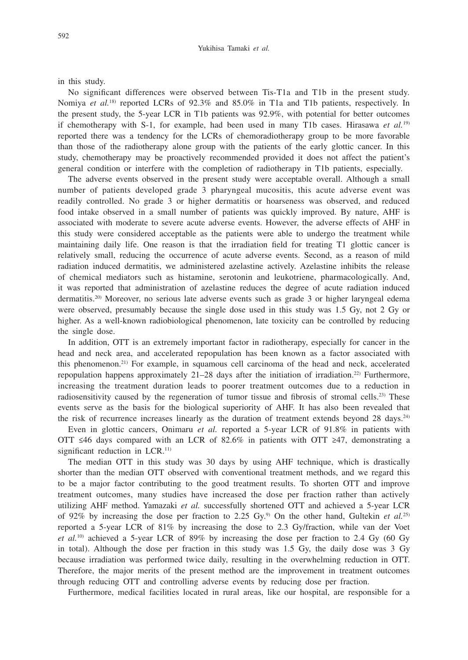in this study.

No significant differences were observed between Tis-T1a and T1b in the present study. Nomiya *et al.*<sup>18)</sup> reported LCRs of 92.3% and 85.0% in T1a and T1b patients, respectively. In the present study, the 5-year LCR in T1b patients was 92.9%, with potential for better outcomes if chemotherapy with S-1, for example, had been used in many T1b cases. Hirasawa *et al.*19) reported there was a tendency for the LCRs of chemoradiotherapy group to be more favorable than those of the radiotherapy alone group with the patients of the early glottic cancer. In this study, chemotherapy may be proactively recommended provided it does not affect the patient's general condition or interfere with the completion of radiotherapy in T1b patients, especially.

The adverse events observed in the present study were acceptable overall. Although a small number of patients developed grade 3 pharyngeal mucositis, this acute adverse event was readily controlled. No grade 3 or higher dermatitis or hoarseness was observed, and reduced food intake observed in a small number of patients was quickly improved. By nature, AHF is associated with moderate to severe acute adverse events. However, the adverse effects of AHF in this study were considered acceptable as the patients were able to undergo the treatment while maintaining daily life. One reason is that the irradiation field for treating T1 glottic cancer is relatively small, reducing the occurrence of acute adverse events. Second, as a reason of mild radiation induced dermatitis, we administered azelastine actively. Azelastine inhibits the release of chemical mediators such as histamine, serotonin and leukotriene, pharmacologically. And, it was reported that administration of azelastine reduces the degree of acute radiation induced dermatitis.<sup>20)</sup> Moreover, no serious late adverse events such as grade 3 or higher laryngeal edema were observed, presumably because the single dose used in this study was 1.5 Gy, not 2 Gy or higher. As a well-known radiobiological phenomenon, late toxicity can be controlled by reducing the single dose.

In addition, OTT is an extremely important factor in radiotherapy, especially for cancer in the head and neck area, and accelerated repopulation has been known as a factor associated with this phenomenon.21) For example, in squamous cell carcinoma of the head and neck, accelerated repopulation happens approximately 21–28 days after the initiation of irradiation.22) Furthermore, increasing the treatment duration leads to poorer treatment outcomes due to a reduction in radiosensitivity caused by the regeneration of tumor tissue and fibrosis of stromal cells.<sup>23)</sup> These events serve as the basis for the biological superiority of AHF. It has also been revealed that the risk of recurrence increases linearly as the duration of treatment extends beyond 28 days.<sup>24)</sup>

Even in glottic cancers, Onimaru *et al.* reported a 5-year LCR of 91.8% in patients with OTT  $\leq 46$  days compared with an LCR of 82.6% in patients with OTT  $\geq 47$ , demonstrating a significant reduction in LCR.<sup>11)</sup>

The median OTT in this study was 30 days by using AHF technique, which is drastically shorter than the median OTT observed with conventional treatment methods, and we regard this to be a major factor contributing to the good treatment results. To shorten OTT and improve treatment outcomes, many studies have increased the dose per fraction rather than actively utilizing AHF method. Yamazaki *et al.* successfully shortened OTT and achieved a 5-year LCR of 92% by increasing the dose per fraction to 2.25 Gy.9) On the other hand, Gultekin *et al.*25) reported a 5-year LCR of 81% by increasing the dose to 2.3 Gy/fraction, while van der Voet *et al.*10) achieved a 5-year LCR of 89% by increasing the dose per fraction to 2.4 Gy (60 Gy in total). Although the dose per fraction in this study was 1.5 Gy, the daily dose was 3 Gy because irradiation was performed twice daily, resulting in the overwhelming reduction in OTT. Therefore, the major merits of the present method are the improvement in treatment outcomes through reducing OTT and controlling adverse events by reducing dose per fraction.

Furthermore, medical facilities located in rural areas, like our hospital, are responsible for a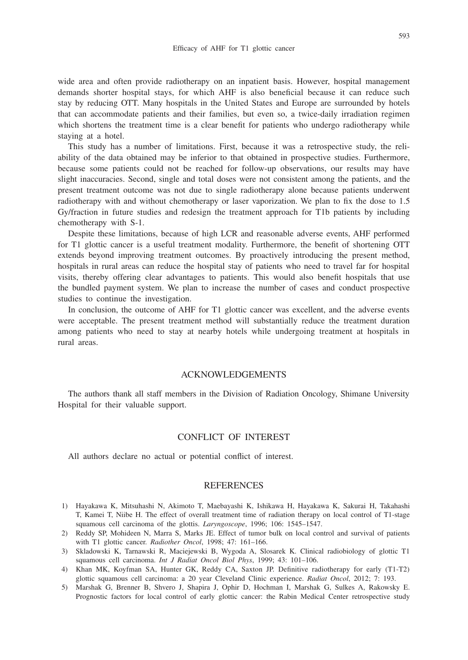wide area and often provide radiotherapy on an inpatient basis. However, hospital management demands shorter hospital stays, for which AHF is also beneficial because it can reduce such stay by reducing OTT. Many hospitals in the United States and Europe are surrounded by hotels that can accommodate patients and their families, but even so, a twice-daily irradiation regimen which shortens the treatment time is a clear benefit for patients who undergo radiotherapy while staying at a hotel.

This study has a number of limitations. First, because it was a retrospective study, the reliability of the data obtained may be inferior to that obtained in prospective studies. Furthermore, because some patients could not be reached for follow-up observations, our results may have slight inaccuracies. Second, single and total doses were not consistent among the patients, and the present treatment outcome was not due to single radiotherapy alone because patients underwent radiotherapy with and without chemotherapy or laser vaporization. We plan to fix the dose to 1.5 Gy/fraction in future studies and redesign the treatment approach for T1b patients by including chemotherapy with S-1.

Despite these limitations, because of high LCR and reasonable adverse events, AHF performed for T1 glottic cancer is a useful treatment modality. Furthermore, the benefit of shortening OTT extends beyond improving treatment outcomes. By proactively introducing the present method, hospitals in rural areas can reduce the hospital stay of patients who need to travel far for hospital visits, thereby offering clear advantages to patients. This would also benefit hospitals that use the bundled payment system. We plan to increase the number of cases and conduct prospective studies to continue the investigation.

In conclusion, the outcome of AHF for T1 glottic cancer was excellent, and the adverse events were acceptable. The present treatment method will substantially reduce the treatment duration among patients who need to stay at nearby hotels while undergoing treatment at hospitals in rural areas.

# ACKNOWLEDGEMENTS

The authors thank all staff members in the Division of Radiation Oncology, Shimane University Hospital for their valuable support.

## CONFLICT OF INTEREST

All authors declare no actual or potential conflict of interest.

#### REFERENCES

- 1) Hayakawa K, Mitsuhashi N, Akimoto T, Maebayashi K, Ishikawa H, Hayakawa K, Sakurai H, Takahashi T, Kamei T, Niibe H. The effect of overall treatment time of radiation therapy on local control of T1-stage squamous cell carcinoma of the glottis. *Laryngoscope*, 1996; 106: 1545–1547.
- 2) Reddy SP, Mohideen N, Marra S, Marks JE. Effect of tumor bulk on local control and survival of patients with T1 glottic cancer. *Radiother Oncol*, 1998; 47: 161–166.
- 3) Skladowski K, Tarnawski R, Maciejewski B, Wygoda A, Slosarek K. Clinical radiobiology of glottic T1 squamous cell carcinoma. *Int J Radiat Oncol Biol Phys*, 1999; 43: 101–106.
- 4) Khan MK, Koyfman SA, Hunter GK, Reddy CA, Saxton JP. Definitive radiotherapy for early (T1-T2) glottic squamous cell carcinoma: a 20 year Cleveland Clinic experience. *Radiat Oncol*, 2012; 7: 193.
- 5) Marshak G, Brenner B, Shvero J, Shapira J, Ophir D, Hochman I, Marshak G, Sulkes A, Rakowsky E. Prognostic factors for local control of early glottic cancer: the Rabin Medical Center retrospective study